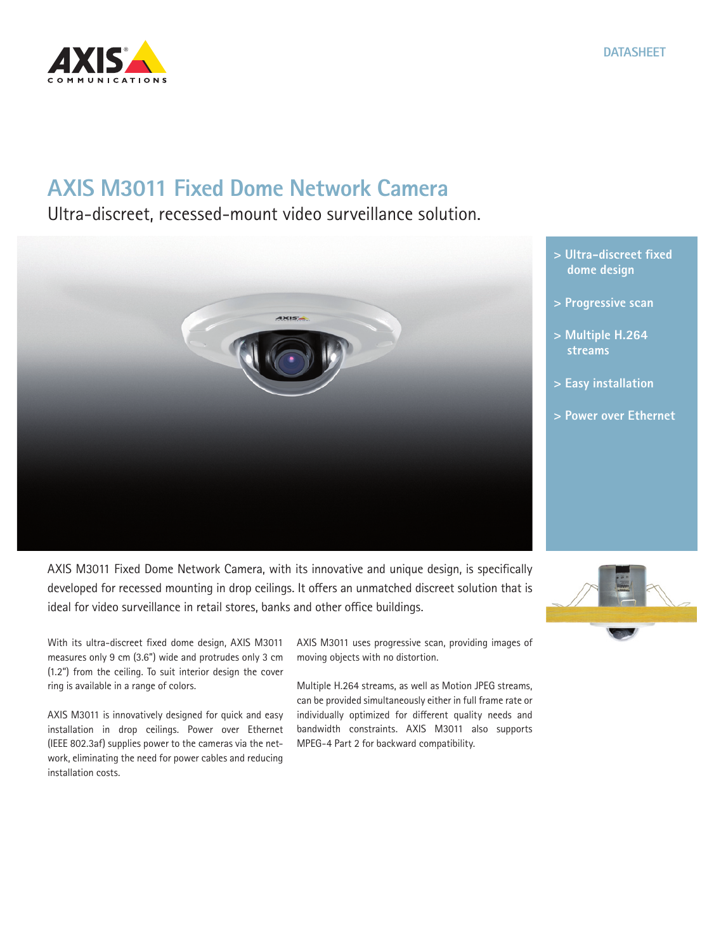

## **AXIS M3011 Fixed Dome Network Camera**

Ultra-discreet, recessed-mount video surveillance solution.



- **> Ultra-discreet fixed dome design**
- **> Progressive scan**
- **> Multiple H.264 streams**
- **> Easy installation**
- **> Power over Ethernet**

AXIS M3011 Fixed Dome Network Camera, with its innovative and unique design, is specifically developed for recessed mounting in drop ceilings. It offers an unmatched discreet solution that is ideal for video surveillance in retail stores, banks and other office buildings.

With its ultra-discreet fixed dome design, AXIS M3011 measures only 9 cm (3.6") wide and protrudes only 3 cm (1.2") from the ceiling. To suit interior design the cover ring is available in a range of colors.

AXIS M3011 is innovatively designed for quick and easy installation in drop ceilings. Power over Ethernet (IEEE 802.3af) supplies power to the cameras via the network, eliminating the need for power cables and reducing installation costs.

AXIS M3011 uses progressive scan, providing images of moving objects with no distortion.

Multiple H.264 streams, as well as Motion JPEG streams, can be provided simultaneously either in full frame rate or individually optimized for different quality needs and bandwidth constraints. AXIS M3011 also supports MPEG-4 Part 2 for backward compatibility.